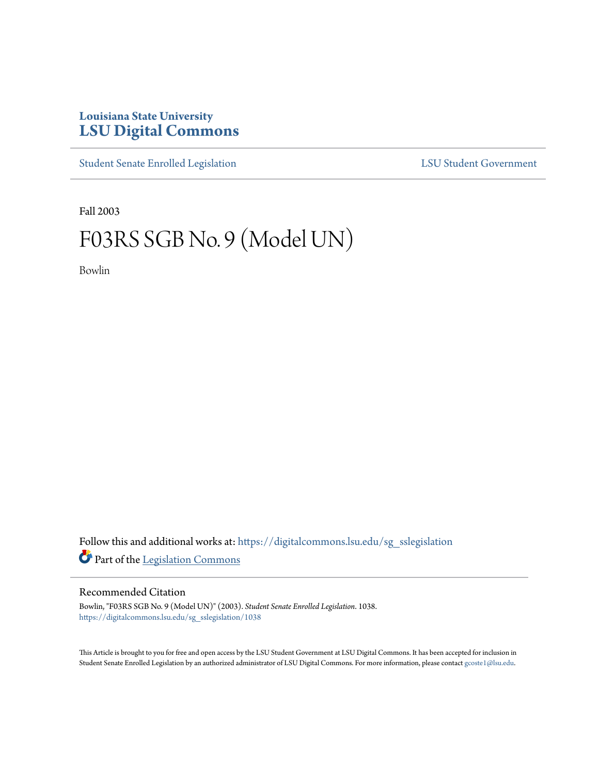## **Louisiana State University [LSU Digital Commons](https://digitalcommons.lsu.edu?utm_source=digitalcommons.lsu.edu%2Fsg_sslegislation%2F1038&utm_medium=PDF&utm_campaign=PDFCoverPages)**

[Student Senate Enrolled Legislation](https://digitalcommons.lsu.edu/sg_sslegislation?utm_source=digitalcommons.lsu.edu%2Fsg_sslegislation%2F1038&utm_medium=PDF&utm_campaign=PDFCoverPages) [LSU Student Government](https://digitalcommons.lsu.edu/sg?utm_source=digitalcommons.lsu.edu%2Fsg_sslegislation%2F1038&utm_medium=PDF&utm_campaign=PDFCoverPages)

Fall 2003

## F03RS SGB No. 9 (Model UN)

Bowlin

Follow this and additional works at: [https://digitalcommons.lsu.edu/sg\\_sslegislation](https://digitalcommons.lsu.edu/sg_sslegislation?utm_source=digitalcommons.lsu.edu%2Fsg_sslegislation%2F1038&utm_medium=PDF&utm_campaign=PDFCoverPages) Part of the [Legislation Commons](http://network.bepress.com/hgg/discipline/859?utm_source=digitalcommons.lsu.edu%2Fsg_sslegislation%2F1038&utm_medium=PDF&utm_campaign=PDFCoverPages)

## Recommended Citation

Bowlin, "F03RS SGB No. 9 (Model UN)" (2003). *Student Senate Enrolled Legislation*. 1038. [https://digitalcommons.lsu.edu/sg\\_sslegislation/1038](https://digitalcommons.lsu.edu/sg_sslegislation/1038?utm_source=digitalcommons.lsu.edu%2Fsg_sslegislation%2F1038&utm_medium=PDF&utm_campaign=PDFCoverPages)

This Article is brought to you for free and open access by the LSU Student Government at LSU Digital Commons. It has been accepted for inclusion in Student Senate Enrolled Legislation by an authorized administrator of LSU Digital Commons. For more information, please contact [gcoste1@lsu.edu.](mailto:gcoste1@lsu.edu)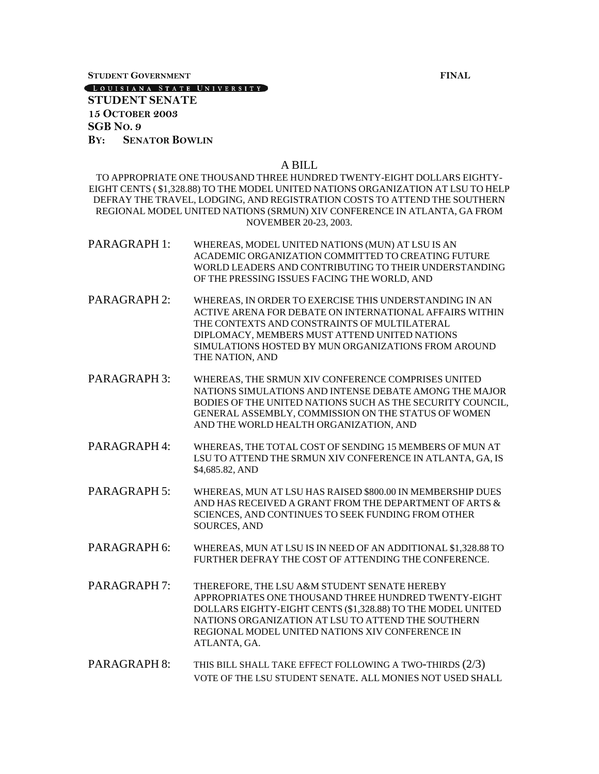**STUDENT GOVERNMENT FINAL**

[LOUISIANA STATE UNIVERSITY]

**STUDENT SENATE 15 OCTOBER 2003 SGB NO. 9 BY: SENATOR BOWLIN**

## A BILL

TO APPROPRIATE ONE THOUSAND THREE HUNDRED TWENTY-EIGHT DOLLARS EIGHTY-EIGHT CENTS ( \$1,328.88) TO THE MODEL UNITED NATIONS ORGANIZATION AT LSU TO HELP DEFRAY THE TRAVEL, LODGING, AND REGISTRATION COSTS TO ATTEND THE SOUTHERN REGIONAL MODEL UNITED NATIONS (SRMUN) XIV CONFERENCE IN ATLANTA, GA FROM NOVEMBER 20-23, 2003.

- PARAGRAPH 1: WHEREAS, MODEL UNITED NATIONS (MUN) AT LSU IS AN ACADEMIC ORGANIZATION COMMITTED TO CREATING FUTURE WORLD LEADERS AND CONTRIBUTING TO THEIR UNDERSTANDING OF THE PRESSING ISSUES FACING THE WORLD, AND
- PARAGRAPH 2: WHEREAS, IN ORDER TO EXERCISE THIS UNDERSTANDING IN AN ACTIVE ARENA FOR DEBATE ON INTERNATIONAL AFFAIRS WITHIN THE CONTEXTS AND CONSTRAINTS OF MULTILATERAL DIPLOMACY, MEMBERS MUST ATTEND UNITED NATIONS SIMULATIONS HOSTED BY MUN ORGANIZATIONS FROM AROUND THE NATION, AND
- PARAGRAPH 3: WHEREAS, THE SRMUN XIV CONFERENCE COMPRISES UNITED NATIONS SIMULATIONS AND INTENSE DEBATE AMONG THE MAJOR BODIES OF THE UNITED NATIONS SUCH AS THE SECURITY COUNCIL, GENERAL ASSEMBLY, COMMISSION ON THE STATUS OF WOMEN AND THE WORLD HEALTH ORGANIZATION, AND
- PARAGRAPH 4: WHEREAS, THE TOTAL COST OF SENDING 15 MEMBERS OF MUN AT LSU TO ATTEND THE SRMUN XIV CONFERENCE IN ATLANTA, GA, IS \$4,685.82, AND
- PARAGRAPH 5: WHEREAS, MUN AT LSU HAS RAISED \$800.00 IN MEMBERSHIP DUES AND HAS RECEIVED A GRANT FROM THE DEPARTMENT OF ARTS & SCIENCES, AND CONTINUES TO SEEK FUNDING FROM OTHER SOURCES, AND
- PARAGRAPH 6: WHEREAS, MUN AT LSU IS IN NEED OF AN ADDITIONAL \$1,328.88 TO FURTHER DEFRAY THE COST OF ATTENDING THE CONFERENCE.
- PARAGRAPH 7: THEREFORE, THE LSU A&M STUDENT SENATE HEREBY APPROPRIATES ONE THOUSAND THREE HUNDRED TWENTY-EIGHT DOLLARS EIGHTY-EIGHT CENTS (\$1,328.88) TO THE MODEL UNITED NATIONS ORGANIZATION AT LSU TO ATTEND THE SOUTHERN REGIONAL MODEL UNITED NATIONS XIV CONFERENCE IN ATLANTA, GA.
- PARAGRAPH 8: THIS BILL SHALL TAKE EFFECT FOLLOWING A TWO-THIRDS (2/3) VOTE OF THE LSU STUDENT SENATE. ALL MONIES NOT USED SHALL